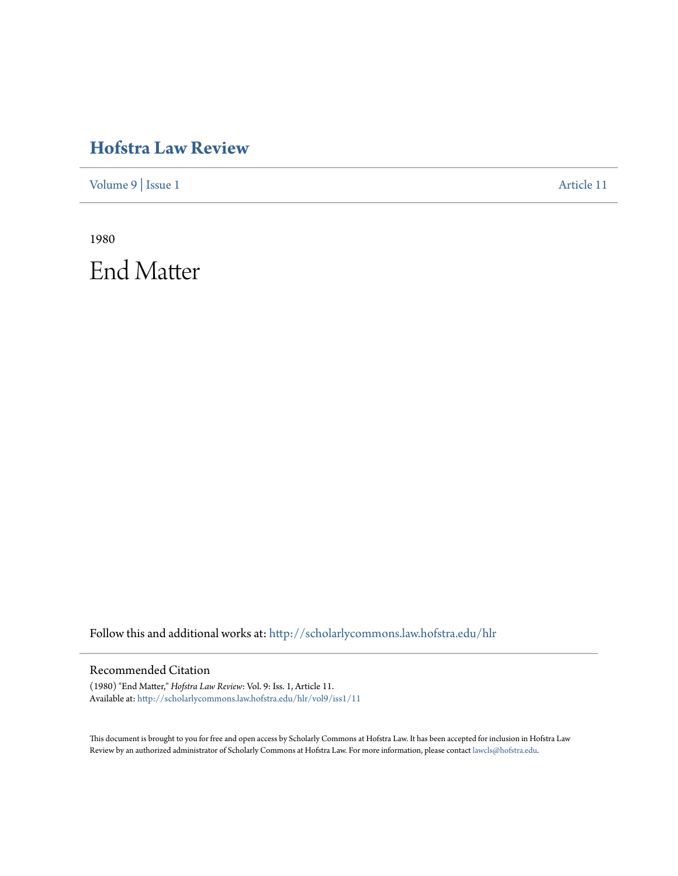## **[Hofstra Law Review](http://scholarlycommons.law.hofstra.edu/hlr?utm_source=scholarlycommons.law.hofstra.edu%2Fhlr%2Fvol9%2Fiss1%2F11&utm_medium=PDF&utm_campaign=PDFCoverPages)**

[Volume 9](http://scholarlycommons.law.hofstra.edu/hlr/vol9?utm_source=scholarlycommons.law.hofstra.edu%2Fhlr%2Fvol9%2Fiss1%2F11&utm_medium=PDF&utm_campaign=PDFCoverPages) | [Issue 1](http://scholarlycommons.law.hofstra.edu/hlr/vol9/iss1?utm_source=scholarlycommons.law.hofstra.edu%2Fhlr%2Fvol9%2Fiss1%2F11&utm_medium=PDF&utm_campaign=PDFCoverPages) [Article 11](http://scholarlycommons.law.hofstra.edu/hlr/vol9/iss1/11?utm_source=scholarlycommons.law.hofstra.edu%2Fhlr%2Fvol9%2Fiss1%2F11&utm_medium=PDF&utm_campaign=PDFCoverPages)

1980 End Matter

Follow this and additional works at: [http://scholarlycommons.law.hofstra.edu/hlr](http://scholarlycommons.law.hofstra.edu/hlr?utm_source=scholarlycommons.law.hofstra.edu%2Fhlr%2Fvol9%2Fiss1%2F11&utm_medium=PDF&utm_campaign=PDFCoverPages)

## Recommended Citation

(1980) "End Matter," *Hofstra Law Review*: Vol. 9: Iss. 1, Article 11. Available at: [http://scholarlycommons.law.hofstra.edu/hlr/vol9/iss1/11](http://scholarlycommons.law.hofstra.edu/hlr/vol9/iss1/11?utm_source=scholarlycommons.law.hofstra.edu%2Fhlr%2Fvol9%2Fiss1%2F11&utm_medium=PDF&utm_campaign=PDFCoverPages)

This document is brought to you for free and open access by Scholarly Commons at Hofstra Law. It has been accepted for inclusion in Hofstra Law Review by an authorized administrator of Scholarly Commons at Hofstra Law. For more information, please contact [lawcls@hofstra.edu](mailto:lawcls@hofstra.edu).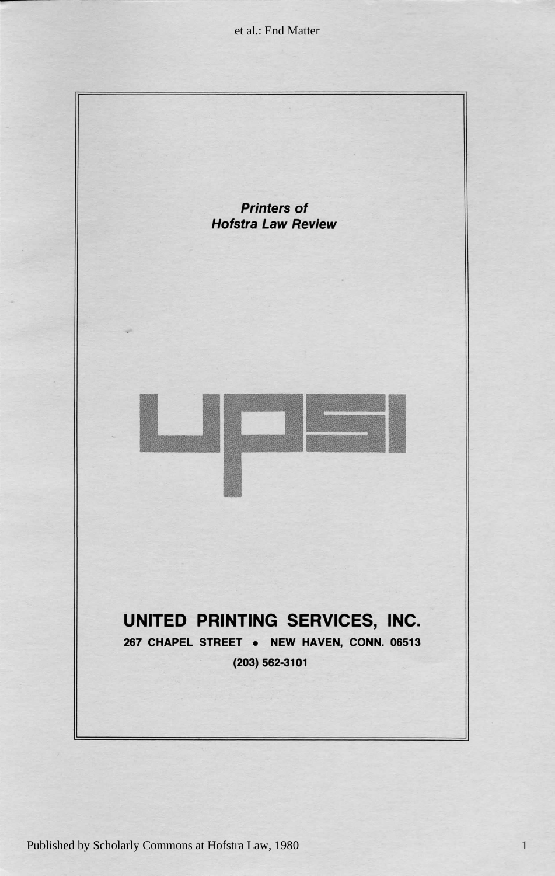et al.: End Matter